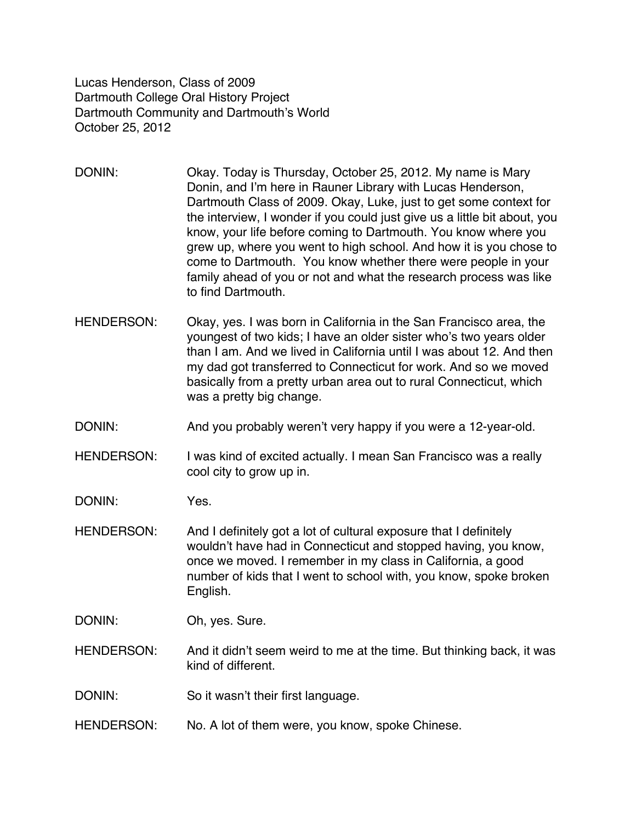Lucas Henderson, Class of 2009 Dartmouth College Oral History Project Dartmouth Community and Dartmouth's World October 25, 2012

- DONIN: Okay. Today is Thursday, October 25, 2012. My name is Mary Donin, and I'm here in Rauner Library with Lucas Henderson, Dartmouth Class of 2009. Okay, Luke, just to get some context for the interview, I wonder if you could just give us a little bit about, you know, your life before coming to Dartmouth. You know where you grew up, where you went to high school. And how it is you chose to come to Dartmouth. You know whether there were people in your family ahead of you or not and what the research process was like to find Dartmouth.
- HENDERSON: Okay, yes. I was born in California in the San Francisco area, the youngest of two kids; I have an older sister who's two years older than I am. And we lived in California until I was about 12. And then my dad got transferred to Connecticut for work. And so we moved basically from a pretty urban area out to rural Connecticut, which was a pretty big change.
- DONIN: And you probably weren't very happy if you were a 12-year-old.
- HENDERSON: I was kind of excited actually. I mean San Francisco was a really cool city to grow up in.

DONIN: Yes.

- HENDERSON: And I definitely got a lot of cultural exposure that I definitely wouldn't have had in Connecticut and stopped having, you know, once we moved. I remember in my class in California, a good number of kids that I went to school with, you know, spoke broken English.
- DONIN: Oh, yes. Sure.
- HENDERSON: And it didn't seem weird to me at the time. But thinking back, it was kind of different.
- DONIN: So it wasn't their first language.
- HENDERSON: No. A lot of them were, you know, spoke Chinese.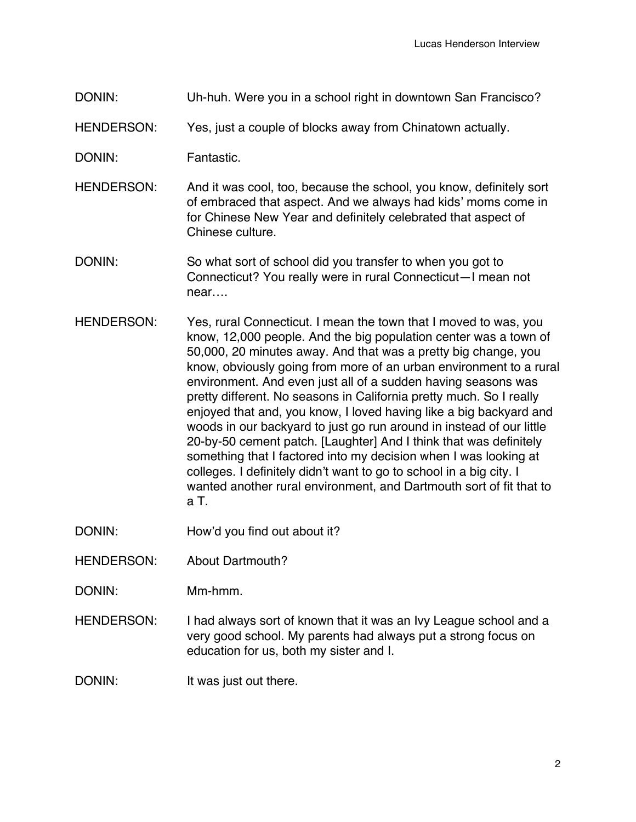- DONIN: Uh-huh. Were you in a school right in downtown San Francisco?
- HENDERSON: Yes, just a couple of blocks away from Chinatown actually.
- DONIN: Fantastic.
- HENDERSON: And it was cool, too, because the school, you know, definitely sort of embraced that aspect. And we always had kids' moms come in for Chinese New Year and definitely celebrated that aspect of Chinese culture.
- DONIN: So what sort of school did you transfer to when you got to Connecticut? You really were in rural Connecticut—I mean not near….
- HENDERSON: Yes, rural Connecticut. I mean the town that I moved to was, you know, 12,000 people. And the big population center was a town of 50,000, 20 minutes away. And that was a pretty big change, you know, obviously going from more of an urban environment to a rural environment. And even just all of a sudden having seasons was pretty different. No seasons in California pretty much. So I really enjoyed that and, you know, I loved having like a big backyard and woods in our backyard to just go run around in instead of our little 20-by-50 cement patch. [Laughter] And I think that was definitely something that I factored into my decision when I was looking at colleges. I definitely didn't want to go to school in a big city. I wanted another rural environment, and Dartmouth sort of fit that to a T.
- DONIN: How'd you find out about it?
- HENDERSON: About Dartmouth?
- DONIN: Mm-hmm.
- HENDERSON: I had always sort of known that it was an Ivy League school and a very good school. My parents had always put a strong focus on education for us, both my sister and I.
- DONIN: It was just out there.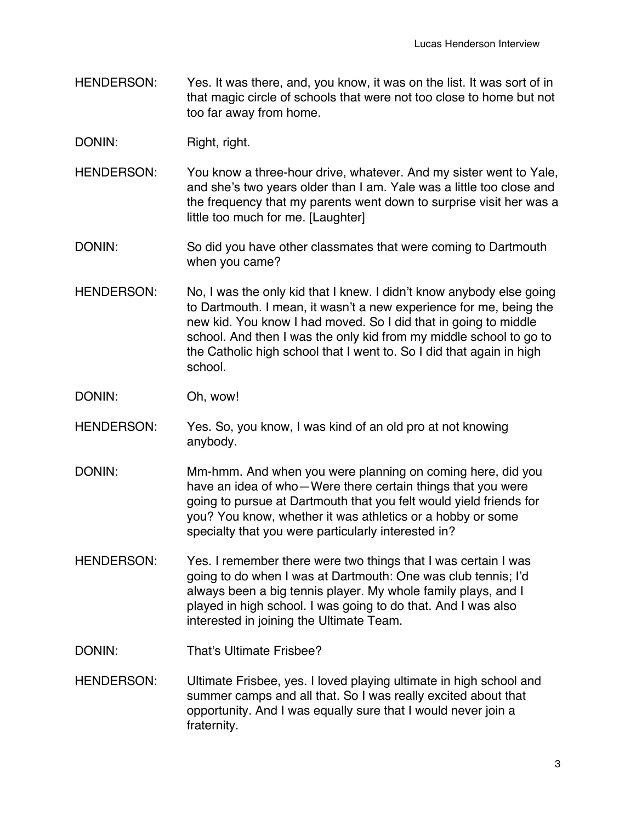- HENDERSON: Yes. It was there, and, you know, it was on the list. It was sort of in that magic circle of schools that were not too close to home but not too far away from home.
- DONIN: Right, right.
- HENDERSON: You know a three-hour drive, whatever. And my sister went to Yale, and she's two years older than I am. Yale was a little too close and the frequency that my parents went down to surprise visit her was a little too much for me. [Laughter]
- DONIN: So did you have other classmates that were coming to Dartmouth when you came?
- HENDERSON: No, I was the only kid that I knew. I didn't know anybody else going to Dartmouth. I mean, it wasn't a new experience for me, being the new kid. You know I had moved. So I did that in going to middle school. And then I was the only kid from my middle school to go to the Catholic high school that I went to. So I did that again in high school.
- DONIN: Oh, wow!
- HENDERSON: Yes. So, you know, I was kind of an old pro at not knowing anybody.
- DONIN: Mm-hmm. And when you were planning on coming here, did you have an idea of who—Were there certain things that you were going to pursue at Dartmouth that you felt would yield friends for you? You know, whether it was athletics or a hobby or some specialty that you were particularly interested in?
- HENDERSON: Yes. I remember there were two things that I was certain I was going to do when I was at Dartmouth: One was club tennis; I'd always been a big tennis player. My whole family plays, and I played in high school. I was going to do that. And I was also interested in joining the Ultimate Team.
- DONIN: That's Ultimate Frisbee?
- HENDERSON: Ultimate Frisbee, yes. I loved playing ultimate in high school and summer camps and all that. So I was really excited about that opportunity. And I was equally sure that I would never join a fraternity.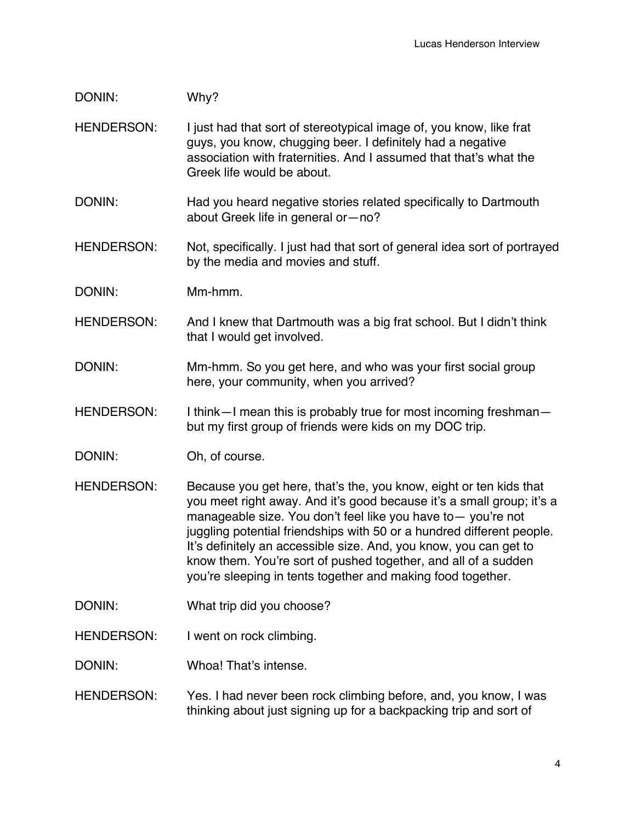## DONIN: Why?

- HENDERSON: I just had that sort of stereotypical image of, you know, like frat guys, you know, chugging beer. I definitely had a negative association with fraternities. And I assumed that that's what the Greek life would be about.
- DONIN: Had you heard negative stories related specifically to Dartmouth about Greek life in general or—no?
- HENDERSON: Not, specifically. I just had that sort of general idea sort of portrayed by the media and movies and stuff.
- DONIN: Mm-hmm.
- HENDERSON: And I knew that Dartmouth was a big frat school. But I didn't think that I would get involved.
- DONIN: Mm-hmm. So you get here, and who was your first social group here, your community, when you arrived?
- HENDERSON: I think—I mean this is probably true for most incoming freshman but my first group of friends were kids on my DOC trip.
- DONIN: Oh, of course.
- HENDERSON: Because you get here, that's the, you know, eight or ten kids that you meet right away. And it's good because it's a small group; it's a manageable size. You don't feel like you have to— you're not juggling potential friendships with 50 or a hundred different people. It's definitely an accessible size. And, you know, you can get to know them. You're sort of pushed together, and all of a sudden you're sleeping in tents together and making food together.
- DONIN: What trip did you choose?
- HENDERSON: I went on rock climbing.
- DONIN: Whoa! That's intense.
- HENDERSON: Yes. I had never been rock climbing before, and, you know, I was thinking about just signing up for a backpacking trip and sort of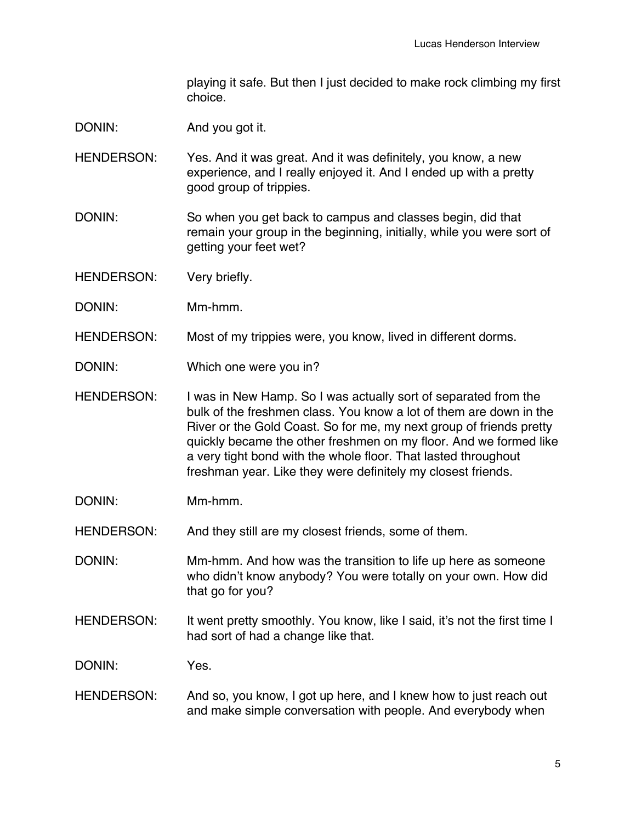playing it safe. But then I just decided to make rock climbing my first choice.

- DONIN: And you got it.
- HENDERSON: Yes. And it was great. And it was definitely, you know, a new experience, and I really enjoyed it. And I ended up with a pretty good group of trippies.
- DONIN: So when you get back to campus and classes begin, did that remain your group in the beginning, initially, while you were sort of getting your feet wet?
- HENDERSON: Very briefly.
- DONIN: Mm-hmm.
- HENDERSON: Most of my trippies were, you know, lived in different dorms.
- DONIN: Which one were you in?
- HENDERSON: I was in New Hamp. So I was actually sort of separated from the bulk of the freshmen class. You know a lot of them are down in the River or the Gold Coast. So for me, my next group of friends pretty quickly became the other freshmen on my floor. And we formed like a very tight bond with the whole floor. That lasted throughout freshman year. Like they were definitely my closest friends.
- DONIN: Mm-hmm.

HENDERSON: And they still are my closest friends, some of them.

DONIN: Mm-hmm. And how was the transition to life up here as someone who didn't know anybody? You were totally on your own. How did that go for you?

HENDERSON: It went pretty smoothly. You know, like I said, it's not the first time I had sort of had a change like that.

DONIN: Yes.

HENDERSON: And so, you know, I got up here, and I knew how to just reach out and make simple conversation with people. And everybody when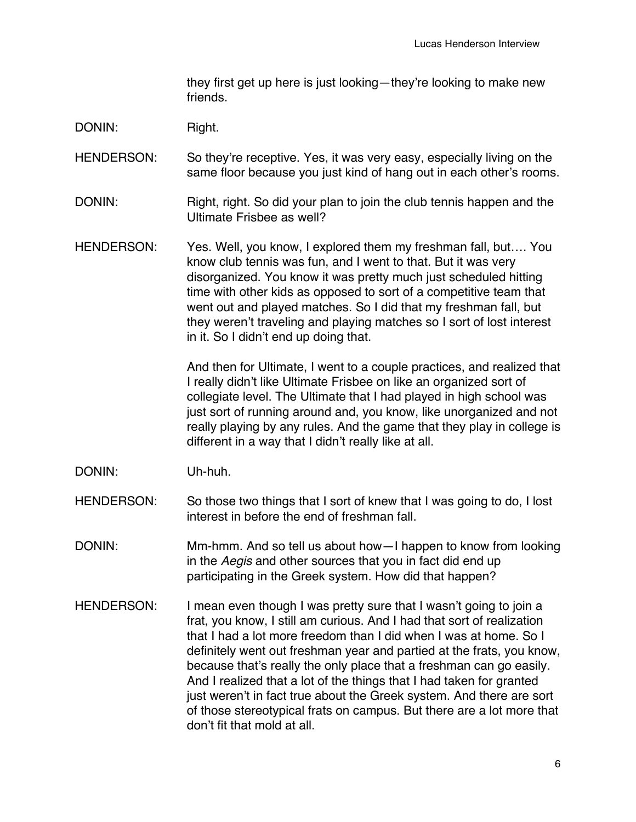they first get up here is just looking—they're looking to make new friends.

DONIN: Right.

HENDERSON: So they're receptive. Yes, it was very easy, especially living on the same floor because you just kind of hang out in each other's rooms.

- DONIN: Right, right. So did your plan to join the club tennis happen and the Ultimate Frisbee as well?
- HENDERSON: Yes. Well, you know, I explored them my freshman fall, but.... You know club tennis was fun, and I went to that. But it was very disorganized. You know it was pretty much just scheduled hitting time with other kids as opposed to sort of a competitive team that went out and played matches. So I did that my freshman fall, but they weren't traveling and playing matches so I sort of lost interest in it. So I didn't end up doing that.

And then for Ultimate, I went to a couple practices, and realized that I really didn't like Ultimate Frisbee on like an organized sort of collegiate level. The Ultimate that I had played in high school was just sort of running around and, you know, like unorganized and not really playing by any rules. And the game that they play in college is different in a way that I didn't really like at all.

- DONIN: Uh-huh.
- HENDERSON: So those two things that I sort of knew that I was going to do, I lost interest in before the end of freshman fall.
- DONIN: Mm-hmm. And so tell us about how—I happen to know from looking in the *Aegis* and other sources that you in fact did end up participating in the Greek system. How did that happen?
- HENDERSON: I mean even though I was pretty sure that I wasn't going to join a frat, you know, I still am curious. And I had that sort of realization that I had a lot more freedom than I did when I was at home. So I definitely went out freshman year and partied at the frats, you know, because that's really the only place that a freshman can go easily. And I realized that a lot of the things that I had taken for granted just weren't in fact true about the Greek system. And there are sort of those stereotypical frats on campus. But there are a lot more that don't fit that mold at all.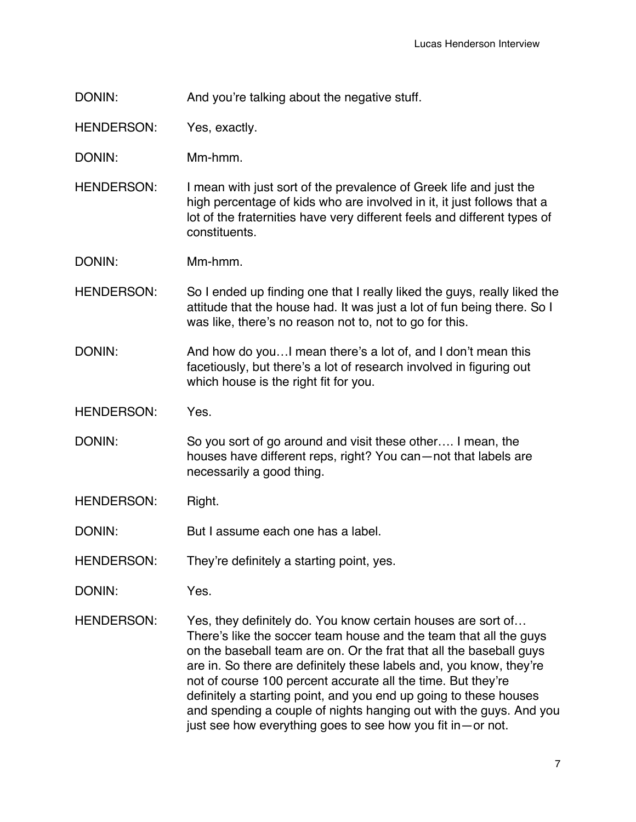DONIN: And you're talking about the negative stuff.

HENDERSON: Yes, exactly.

- DONIN: Mm-hmm.
- HENDERSON: I mean with just sort of the prevalence of Greek life and just the high percentage of kids who are involved in it, it just follows that a lot of the fraternities have very different feels and different types of constituents.
- DONIN: Mm-hmm.
- HENDERSON: So I ended up finding one that I really liked the guys, really liked the attitude that the house had. It was just a lot of fun being there. So I was like, there's no reason not to, not to go for this.
- DONIN: And how do you...I mean there's a lot of, and I don't mean this facetiously, but there's a lot of research involved in figuring out which house is the right fit for you.
- HENDERSON: Yes.
- DONIN: So you sort of go around and visit these other.... I mean, the houses have different reps, right? You can—not that labels are necessarily a good thing.
- HENDERSON: Right.
- DONIN: But I assume each one has a label.
- HENDERSON: They're definitely a starting point, yes.
- DONIN: Yes.
- HENDERSON: Yes, they definitely do. You know certain houses are sort of... There's like the soccer team house and the team that all the guys on the baseball team are on. Or the frat that all the baseball guys are in. So there are definitely these labels and, you know, they're not of course 100 percent accurate all the time. But they're definitely a starting point, and you end up going to these houses and spending a couple of nights hanging out with the guys. And you just see how everything goes to see how you fit in—or not.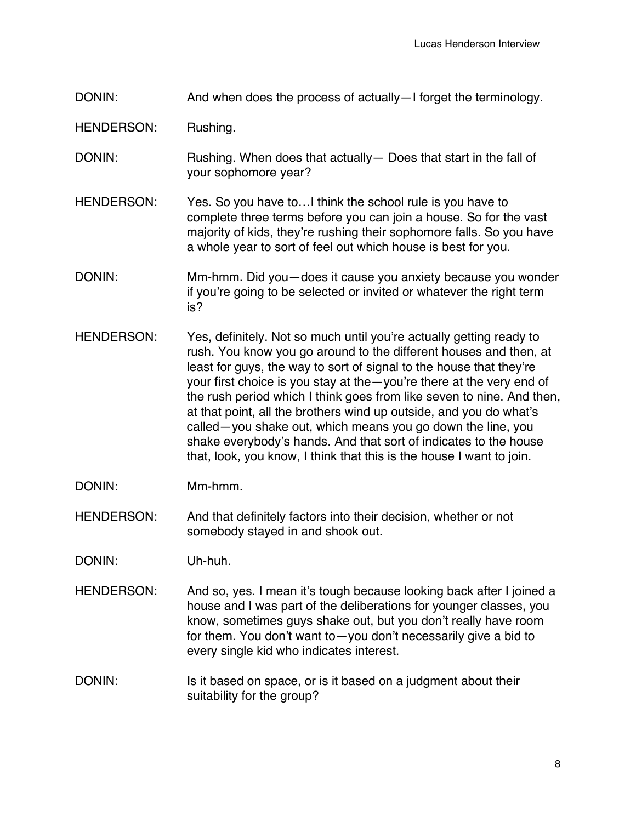DONIN: And when does the process of actually—I forget the terminology.

HENDERSON: Rushing.

- DONIN: Rushing. When does that actually Does that start in the fall of your sophomore year?
- HENDERSON: Yes. So you have to... I think the school rule is you have to complete three terms before you can join a house. So for the vast majority of kids, they're rushing their sophomore falls. So you have a whole year to sort of feel out which house is best for you.
- DONIN: Mm-hmm. Did you—does it cause you anxiety because you wonder if you're going to be selected or invited or whatever the right term is?
- HENDERSON: Yes, definitely. Not so much until you're actually getting ready to rush. You know you go around to the different houses and then, at least for guys, the way to sort of signal to the house that they're your first choice is you stay at the—you're there at the very end of the rush period which I think goes from like seven to nine. And then, at that point, all the brothers wind up outside, and you do what's called—you shake out, which means you go down the line, you shake everybody's hands. And that sort of indicates to the house that, look, you know, I think that this is the house I want to join.
- DONIN: Mm-hmm.
- HENDERSON: And that definitely factors into their decision, whether or not somebody stayed in and shook out.
- DONIN: Uh-huh.
- HENDERSON: And so, yes. I mean it's tough because looking back after I joined a house and I was part of the deliberations for younger classes, you know, sometimes guys shake out, but you don't really have room for them. You don't want to—you don't necessarily give a bid to every single kid who indicates interest.
- DONIN: Is it based on space, or is it based on a judgment about their suitability for the group?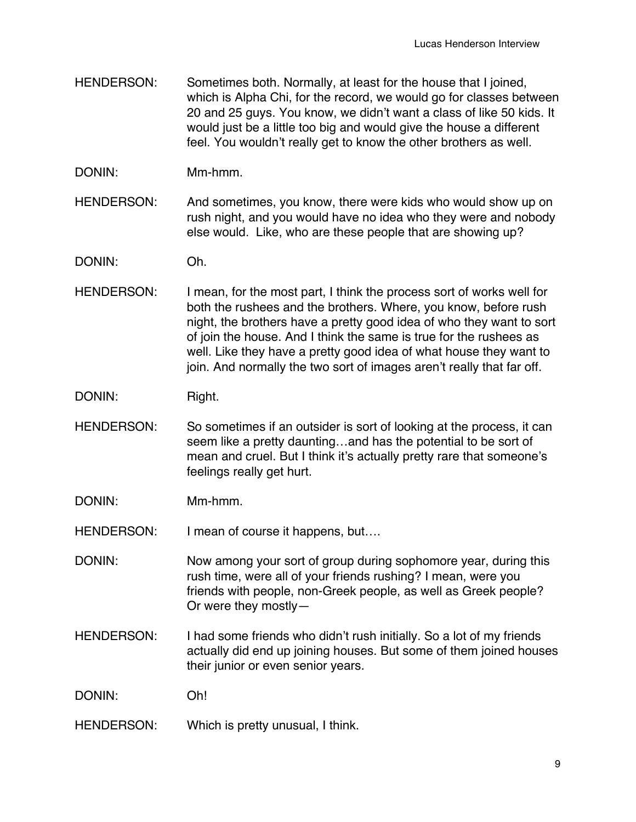- HENDERSON: Sometimes both. Normally, at least for the house that I joined, which is Alpha Chi, for the record, we would go for classes between 20 and 25 guys. You know, we didn't want a class of like 50 kids. It would just be a little too big and would give the house a different feel. You wouldn't really get to know the other brothers as well.
- DONIN: Mm-hmm.

HENDERSON: And sometimes, you know, there were kids who would show up on rush night, and you would have no idea who they were and nobody else would. Like, who are these people that are showing up?

DONIN: Oh.

HENDERSON: I mean, for the most part, I think the process sort of works well for both the rushees and the brothers. Where, you know, before rush night, the brothers have a pretty good idea of who they want to sort of join the house. And I think the same is true for the rushees as well. Like they have a pretty good idea of what house they want to join. And normally the two sort of images aren't really that far off.

DONIN: Right.

- HENDERSON: So sometimes if an outsider is sort of looking at the process, it can seem like a pretty daunting…and has the potential to be sort of mean and cruel. But I think it's actually pretty rare that someone's feelings really get hurt.
- DONIN: Mm-hmm.

HENDERSON: I mean of course it happens, but....

DONIN: Now among your sort of group during sophomore year, during this rush time, were all of your friends rushing? I mean, were you friends with people, non-Greek people, as well as Greek people? Or were they mostly—

HENDERSON: I had some friends who didn't rush initially. So a lot of my friends actually did end up joining houses. But some of them joined houses their junior or even senior years.

DONIN: Oh!

HENDERSON: Which is pretty unusual, I think.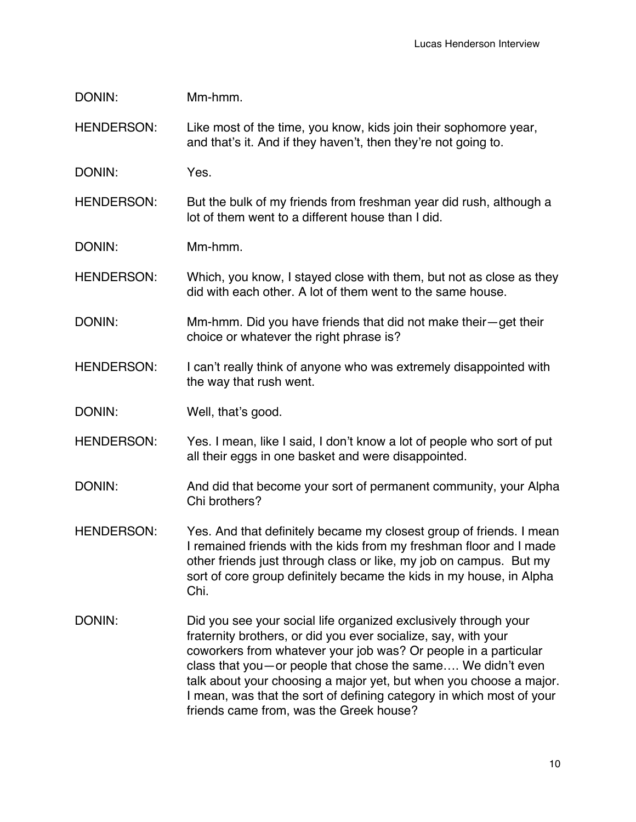| DONIN:            | Mm-hmm.                                                                                                                                                                                                                                                                                                                                   |
|-------------------|-------------------------------------------------------------------------------------------------------------------------------------------------------------------------------------------------------------------------------------------------------------------------------------------------------------------------------------------|
| <b>HENDERSON:</b> | Like most of the time, you know, kids join their sophomore year,<br>and that's it. And if they haven't, then they're not going to.                                                                                                                                                                                                        |
| DONIN:            | Yes.                                                                                                                                                                                                                                                                                                                                      |
| <b>HENDERSON:</b> | But the bulk of my friends from freshman year did rush, although a<br>lot of them went to a different house than I did.                                                                                                                                                                                                                   |
| DONIN:            | Mm-hmm.                                                                                                                                                                                                                                                                                                                                   |
| <b>HENDERSON:</b> | Which, you know, I stayed close with them, but not as close as they<br>did with each other. A lot of them went to the same house.                                                                                                                                                                                                         |
| DONIN:            | Mm-hmm. Did you have friends that did not make their-get their<br>choice or whatever the right phrase is?                                                                                                                                                                                                                                 |
| <b>HENDERSON:</b> | I can't really think of anyone who was extremely disappointed with<br>the way that rush went.                                                                                                                                                                                                                                             |
| DONIN:            | Well, that's good.                                                                                                                                                                                                                                                                                                                        |
| <b>HENDERSON:</b> | Yes. I mean, like I said, I don't know a lot of people who sort of put<br>all their eggs in one basket and were disappointed.                                                                                                                                                                                                             |
| DONIN:            | And did that become your sort of permanent community, your Alpha<br>Chi brothers?                                                                                                                                                                                                                                                         |
| <b>HENDERSON:</b> | Yes. And that definitely became my closest group of friends. I mean<br>I remained friends with the kids from my freshman floor and I made<br>other friends just through class or like, my job on campus. But my<br>sort of core group definitely became the kids in my house, in Alpha<br>Chi.                                            |
| DONIN:            | Did you see your social life organized exclusively through your<br>fraternity brothers, or did you ever socialize, say, with your<br>coworkers from whatever your job was? Or people in a particular<br>class that you-or people that chose the same We didn't even<br>talk about your choosing a major yet, but when you choose a major. |

I mean, was that the sort of defining category in which most of your

friends came from, was the Greek house?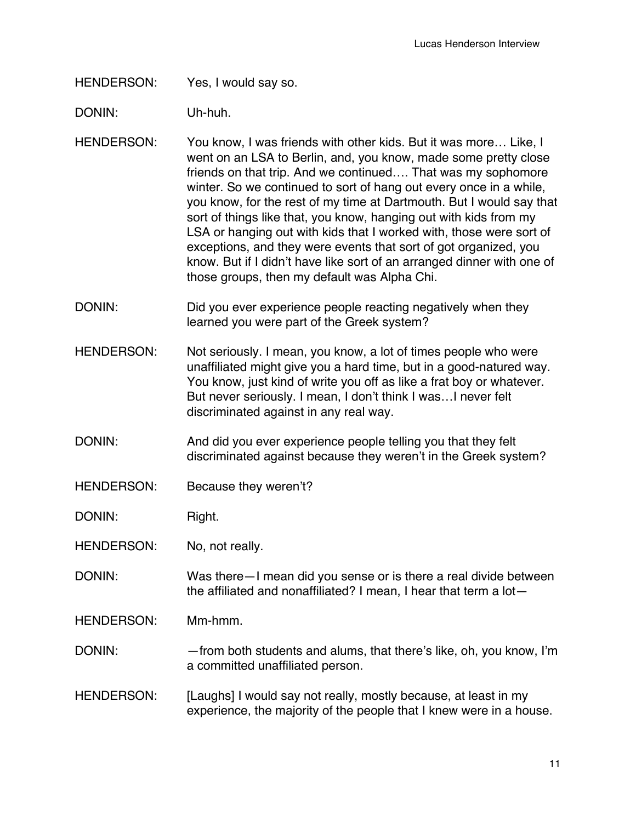HENDERSON: Yes, I would say so.

DONIN: Uh-huh.

- HENDERSON: You know, I was friends with other kids. But it was more… Like, I went on an LSA to Berlin, and, you know, made some pretty close friends on that trip. And we continued…. That was my sophomore winter. So we continued to sort of hang out every once in a while, you know, for the rest of my time at Dartmouth. But I would say that sort of things like that, you know, hanging out with kids from my LSA or hanging out with kids that I worked with, those were sort of exceptions, and they were events that sort of got organized, you know. But if I didn't have like sort of an arranged dinner with one of those groups, then my default was Alpha Chi.
- DONIN: DONIN: Did you ever experience people reacting negatively when they learned you were part of the Greek system?
- HENDERSON: Not seriously. I mean, you know, a lot of times people who were unaffiliated might give you a hard time, but in a good-natured way. You know, just kind of write you off as like a frat boy or whatever. But never seriously. I mean, I don't think I was…I never felt discriminated against in any real way.
- DONIN: And did you ever experience people telling you that they felt discriminated against because they weren't in the Greek system?
- HENDERSON: Because they weren't?

DONIN: Right.

HENDERSON: No, not really.

- DONIN: Was there—I mean did you sense or is there a real divide between the affiliated and nonaffiliated? I mean, I hear that term a lot—
- HENDERSON: Mm-hmm.
- DONIN: from both students and alums, that there's like, oh, you know, I'm a committed unaffiliated person.
- HENDERSON: [Laughs] I would say not really, mostly because, at least in my experience, the majority of the people that I knew were in a house.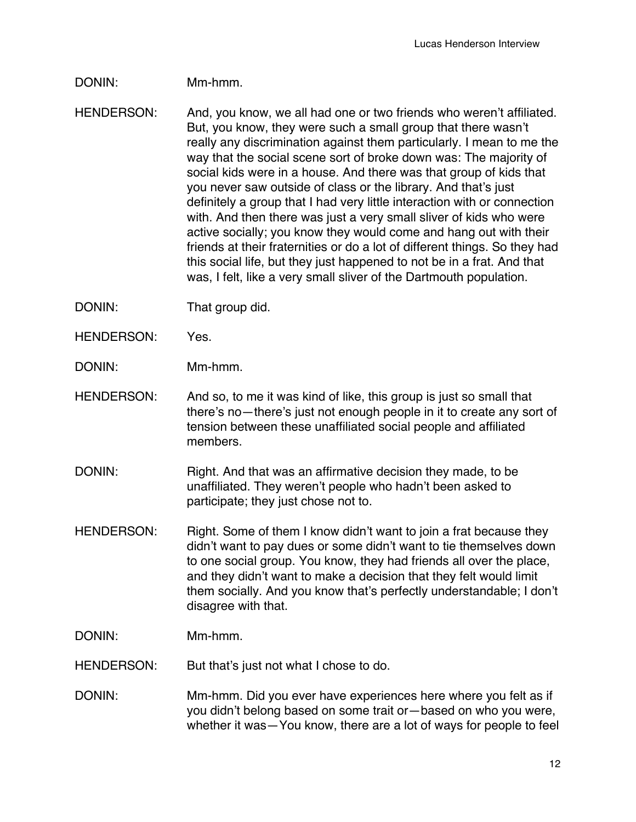## DONIN: Mm-hmm.

- HENDERSON: And, you know, we all had one or two friends who weren't affiliated. But, you know, they were such a small group that there wasn't really any discrimination against them particularly. I mean to me the way that the social scene sort of broke down was: The majority of social kids were in a house. And there was that group of kids that you never saw outside of class or the library. And that's just definitely a group that I had very little interaction with or connection with. And then there was just a very small sliver of kids who were active socially; you know they would come and hang out with their friends at their fraternities or do a lot of different things. So they had this social life, but they just happened to not be in a frat. And that was, I felt, like a very small sliver of the Dartmouth population.
- DONIN: That group did.
- HENDERSON: Yes.
- DONIN: Mm-hmm.
- HENDERSON: And so, to me it was kind of like, this group is just so small that there's no—there's just not enough people in it to create any sort of tension between these unaffiliated social people and affiliated members.
- DONIN: Right. And that was an affirmative decision they made, to be unaffiliated. They weren't people who hadn't been asked to participate; they just chose not to.
- HENDERSON: Right. Some of them I know didn't want to join a frat because they didn't want to pay dues or some didn't want to tie themselves down to one social group. You know, they had friends all over the place, and they didn't want to make a decision that they felt would limit them socially. And you know that's perfectly understandable; I don't disagree with that.
- DONIN: Mm-hmm.
- HENDERSON: But that's just not what I chose to do.
- DONIN: Mm-hmm. Did you ever have experiences here where you felt as if you didn't belong based on some trait or—based on who you were, whether it was—You know, there are a lot of ways for people to feel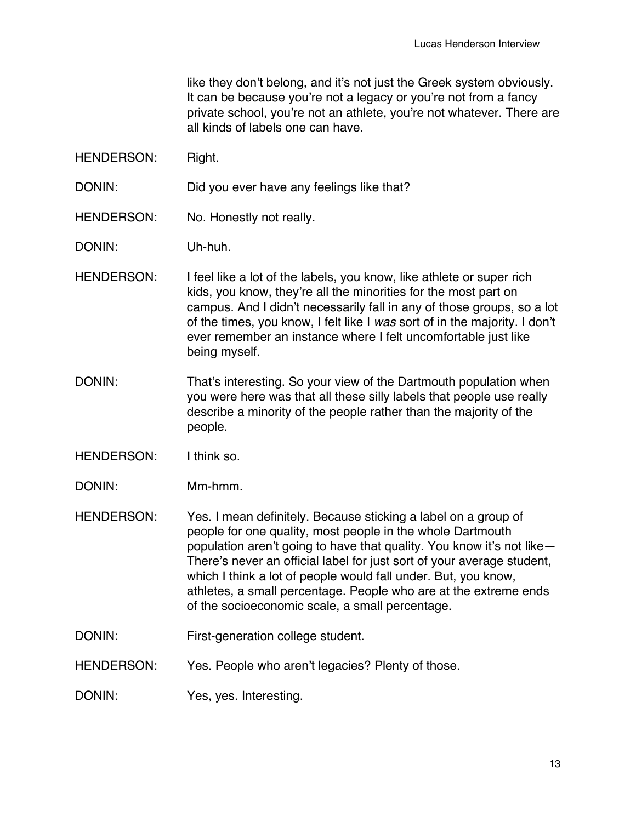like they don't belong, and it's not just the Greek system obviously. It can be because you're not a legacy or you're not from a fancy private school, you're not an athlete, you're not whatever. There are all kinds of labels one can have.

HENDERSON: Right.

DONIN: Did you ever have any feelings like that?

- HENDERSON: No. Honestly not really.
- DONIN: Uh-huh.
- HENDERSON: I feel like a lot of the labels, you know, like athlete or super rich kids, you know, they're all the minorities for the most part on campus. And I didn't necessarily fall in any of those groups, so a lot of the times, you know, I felt like I *was* sort of in the majority. I don't ever remember an instance where I felt uncomfortable just like being myself.
- DONIN: That's interesting. So your view of the Dartmouth population when you were here was that all these silly labels that people use really describe a minority of the people rather than the majority of the people.
- HENDERSON: I think so.
- DONIN: Mm-hmm.
- HENDERSON: Yes. I mean definitely. Because sticking a label on a group of people for one quality, most people in the whole Dartmouth population aren't going to have that quality. You know it's not like— There's never an official label for just sort of your average student, which I think a lot of people would fall under. But, you know, athletes, a small percentage. People who are at the extreme ends of the socioeconomic scale, a small percentage.
- DONIN: First-generation college student.
- HENDERSON: Yes. People who aren't legacies? Plenty of those.
- DONIN: Yes, yes. Interesting.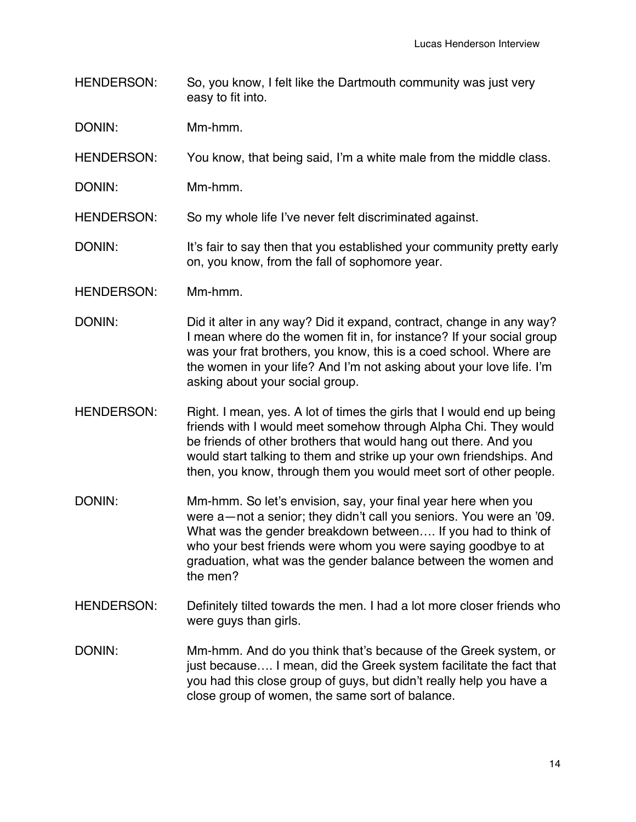- HENDERSON: So, you know, I felt like the Dartmouth community was just very easy to fit into.
- DONIN: Mm-hmm.
- HENDERSON: You know, that being said, I'm a white male from the middle class.
- DONIN: Mm-hmm.

HENDERSON: So my whole life I've never felt discriminated against.

- DONIN: It's fair to say then that you established your community pretty early on, you know, from the fall of sophomore year.
- HENDERSON: Mm-hmm.
- DONIN: DONIN: Did it alter in any way? Did it expand, contract, change in any way? I mean where do the women fit in, for instance? If your social group was your frat brothers, you know, this is a coed school. Where are the women in your life? And I'm not asking about your love life. I'm asking about your social group.
- HENDERSON: Right. I mean, yes. A lot of times the girls that I would end up being friends with I would meet somehow through Alpha Chi. They would be friends of other brothers that would hang out there. And you would start talking to them and strike up your own friendships. And then, you know, through them you would meet sort of other people.
- DONIN: Mm-hmm. So let's envision, say, your final year here when you were a—not a senior; they didn't call you seniors. You were an '09. What was the gender breakdown between…. If you had to think of who your best friends were whom you were saying goodbye to at graduation, what was the gender balance between the women and the men?
- HENDERSON: Definitely tilted towards the men. I had a lot more closer friends who were guys than girls.
- DONIN: Mm-hmm. And do you think that's because of the Greek system, or just because…. I mean, did the Greek system facilitate the fact that you had this close group of guys, but didn't really help you have a close group of women, the same sort of balance.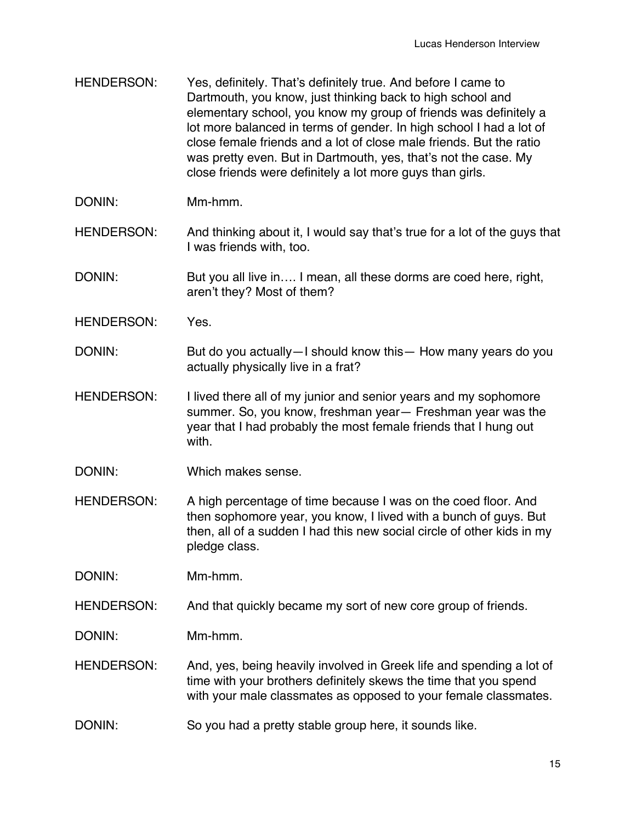- HENDERSON: Yes, definitely. That's definitely true. And before I came to Dartmouth, you know, just thinking back to high school and elementary school, you know my group of friends was definitely a lot more balanced in terms of gender. In high school I had a lot of close female friends and a lot of close male friends. But the ratio was pretty even. But in Dartmouth, yes, that's not the case. My close friends were definitely a lot more guys than girls.
- DONIN: Mm-hmm.
- HENDERSON: And thinking about it, I would say that's true for a lot of the guys that I was friends with, too.
- DONIN: But you all live in.... I mean, all these dorms are coed here, right, aren't they? Most of them?
- HENDERSON: Yes.
- DONIN: But do you actually—I should know this— How many years do you actually physically live in a frat?
- HENDERSON: I lived there all of my junior and senior years and my sophomore summer. So, you know, freshman year— Freshman year was the year that I had probably the most female friends that I hung out with.
- DONIN: Which makes sense.
- HENDERSON: A high percentage of time because I was on the coed floor. And then sophomore year, you know, I lived with a bunch of guys. But then, all of a sudden I had this new social circle of other kids in my pledge class.

DONIN: Mm-hmm.

HENDERSON: And that quickly became my sort of new core group of friends.

DONIN: Mm-hmm.

- HENDERSON: And, yes, being heavily involved in Greek life and spending a lot of time with your brothers definitely skews the time that you spend with your male classmates as opposed to your female classmates.
- DONIN: So you had a pretty stable group here, it sounds like.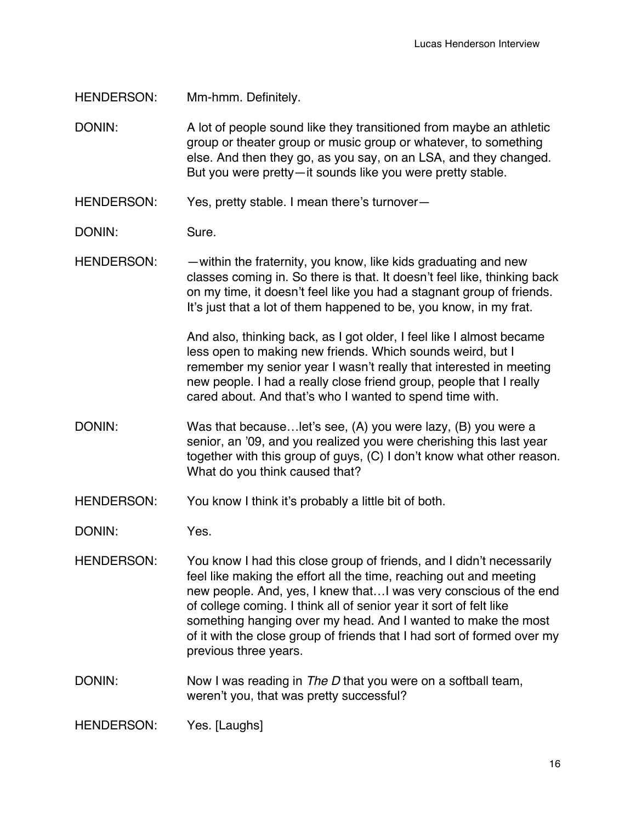HENDERSON: Mm-hmm. Definitely.

DONIN: A lot of people sound like they transitioned from maybe an athletic group or theater group or music group or whatever, to something else. And then they go, as you say, on an LSA, and they changed. But you were pretty—it sounds like you were pretty stable.

HENDERSON: Yes, pretty stable. I mean there's turnover—

DONIN: Sure.

HENDERSON: — — within the fraternity, you know, like kids graduating and new classes coming in. So there is that. It doesn't feel like, thinking back on my time, it doesn't feel like you had a stagnant group of friends. It's just that a lot of them happened to be, you know, in my frat.

> And also, thinking back, as I got older, I feel like I almost became less open to making new friends. Which sounds weird, but I remember my senior year I wasn't really that interested in meeting new people. I had a really close friend group, people that I really cared about. And that's who I wanted to spend time with.

- DONIN: Was that because…let's see, (A) you were lazy, (B) you were a senior, an '09, and you realized you were cherishing this last year together with this group of guys, (C) I don't know what other reason. What do you think caused that?
- HENDERSON: You know I think it's probably a little bit of both.

DONIN: Yes.

- HENDERSON: You know I had this close group of friends, and I didn't necessarily feel like making the effort all the time, reaching out and meeting new people. And, yes, I knew that…I was very conscious of the end of college coming. I think all of senior year it sort of felt like something hanging over my head. And I wanted to make the most of it with the close group of friends that I had sort of formed over my previous three years.
- DONIN: Now I was reading in *The D* that you were on a softball team, weren't you, that was pretty successful?

HENDERSON: Yes. [Laughs]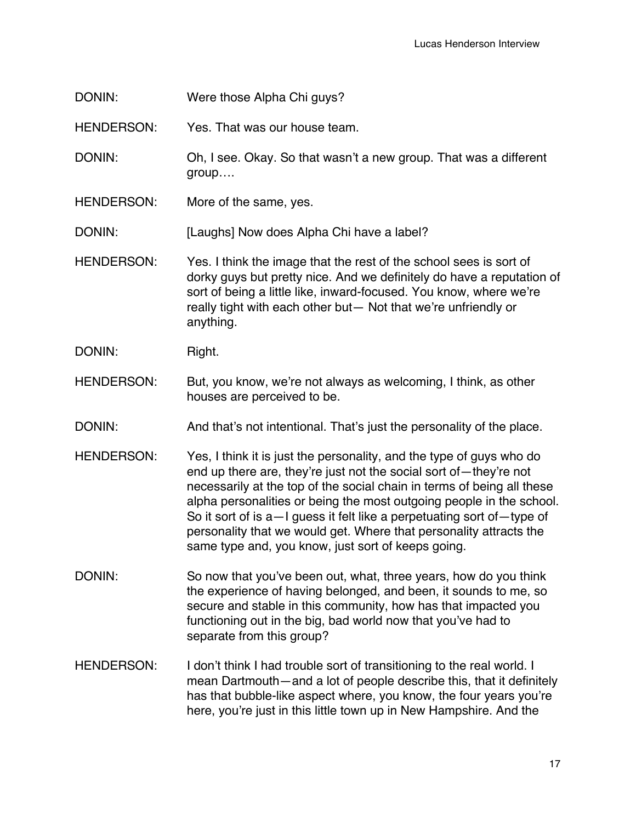DONIN: Were those Alpha Chi guys?

HENDERSON: Yes. That was our house team.

DONIN: Oh, I see. Okay. So that wasn't a new group. That was a different group….

HENDERSON: More of the same, yes.

DONIN: [Laughs] Now does Alpha Chi have a label?

- HENDERSON: Yes. I think the image that the rest of the school sees is sort of dorky guys but pretty nice. And we definitely do have a reputation of sort of being a little like, inward-focused. You know, where we're really tight with each other but— Not that we're unfriendly or anything.
- DONIN: Right.
- HENDERSON: But, you know, we're not always as welcoming, I think, as other houses are perceived to be.
- DONIN: And that's not intentional. That's just the personality of the place.
- HENDERSON: Yes, I think it is just the personality, and the type of guys who do end up there are, they're just not the social sort of—they're not necessarily at the top of the social chain in terms of being all these alpha personalities or being the most outgoing people in the school. So it sort of is a—I guess it felt like a perpetuating sort of—type of personality that we would get. Where that personality attracts the same type and, you know, just sort of keeps going.
- DONIN: So now that you've been out, what, three years, how do you think the experience of having belonged, and been, it sounds to me, so secure and stable in this community, how has that impacted you functioning out in the big, bad world now that you've had to separate from this group?
- HENDERSON: I don't think I had trouble sort of transitioning to the real world. I mean Dartmouth—and a lot of people describe this, that it definitely has that bubble-like aspect where, you know, the four years you're here, you're just in this little town up in New Hampshire. And the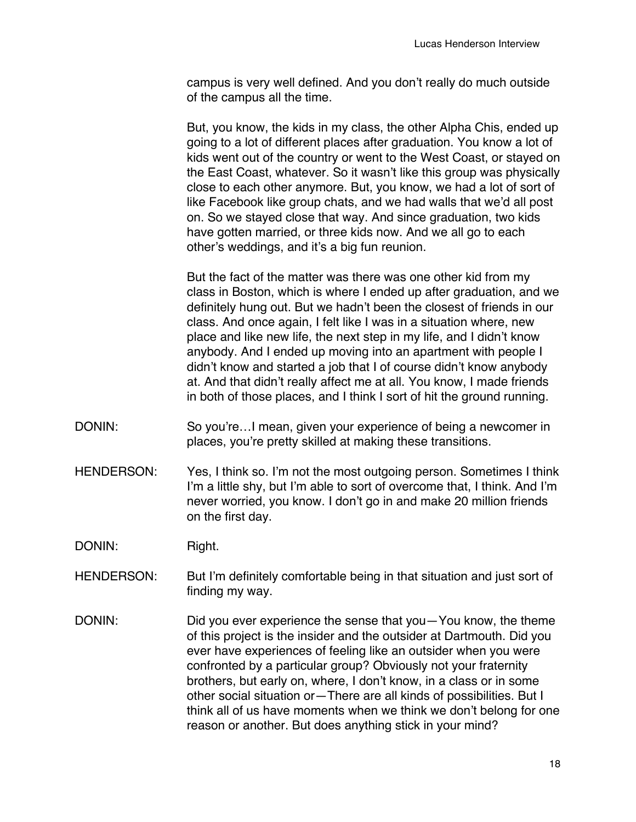campus is very well defined. And you don't really do much outside of the campus all the time.

But, you know, the kids in my class, the other Alpha Chis, ended up going to a lot of different places after graduation. You know a lot of kids went out of the country or went to the West Coast, or stayed on the East Coast, whatever. So it wasn't like this group was physically close to each other anymore. But, you know, we had a lot of sort of like Facebook like group chats, and we had walls that we'd all post on. So we stayed close that way. And since graduation, two kids have gotten married, or three kids now. And we all go to each other's weddings, and it's a big fun reunion.

But the fact of the matter was there was one other kid from my class in Boston, which is where I ended up after graduation, and we definitely hung out. But we hadn't been the closest of friends in our class. And once again, I felt like I was in a situation where, new place and like new life, the next step in my life, and I didn't know anybody. And I ended up moving into an apartment with people I didn't know and started a job that I of course didn't know anybody at. And that didn't really affect me at all. You know, I made friends in both of those places, and I think I sort of hit the ground running.

- DONIN: So you're...I mean, given your experience of being a newcomer in places, you're pretty skilled at making these transitions.
- HENDERSON: Yes, I think so. I'm not the most outgoing person. Sometimes I think I'm a little shy, but I'm able to sort of overcome that, I think. And I'm never worried, you know. I don't go in and make 20 million friends on the first day.
- DONIN: Right.
- HENDERSON: But I'm definitely comfortable being in that situation and just sort of finding my way.
- DONIN: DONIN: Did you ever experience the sense that you—You know, the theme of this project is the insider and the outsider at Dartmouth. Did you ever have experiences of feeling like an outsider when you were confronted by a particular group? Obviously not your fraternity brothers, but early on, where, I don't know, in a class or in some other social situation or—There are all kinds of possibilities. But I think all of us have moments when we think we don't belong for one reason or another. But does anything stick in your mind?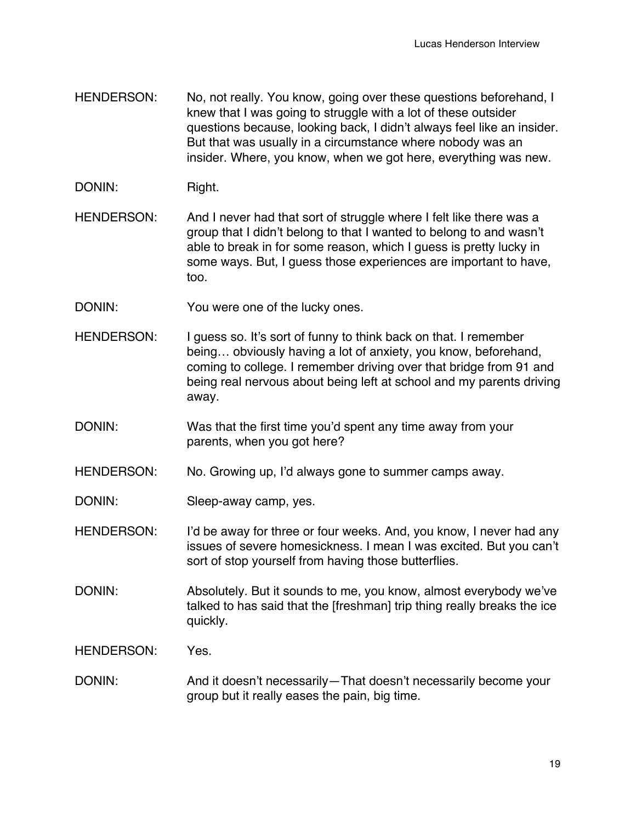- HENDERSON: No, not really. You know, going over these questions beforehand, I knew that I was going to struggle with a lot of these outsider questions because, looking back, I didn't always feel like an insider. But that was usually in a circumstance where nobody was an insider. Where, you know, when we got here, everything was new.
- DONIN: Right.
- HENDERSON: And I never had that sort of struggle where I felt like there was a group that I didn't belong to that I wanted to belong to and wasn't able to break in for some reason, which I guess is pretty lucky in some ways. But, I guess those experiences are important to have, too.
- DONIN: You were one of the lucky ones.
- HENDERSON: I guess so. It's sort of funny to think back on that. I remember being… obviously having a lot of anxiety, you know, beforehand, coming to college. I remember driving over that bridge from 91 and being real nervous about being left at school and my parents driving away.
- DONIN: Was that the first time you'd spent any time away from your parents, when you got here?
- HENDERSON: No. Growing up, I'd always gone to summer camps away.
- DONIN: Sleep-away camp, yes.
- HENDERSON: I'd be away for three or four weeks. And, you know, I never had any issues of severe homesickness. I mean I was excited. But you can't sort of stop yourself from having those butterflies.
- DONIN: Absolutely. But it sounds to me, you know, almost everybody we've talked to has said that the [freshman] trip thing really breaks the ice quickly.
- HENDERSON: Yes.
- DONIN: And it doesn't necessarily—That doesn't necessarily become your group but it really eases the pain, big time.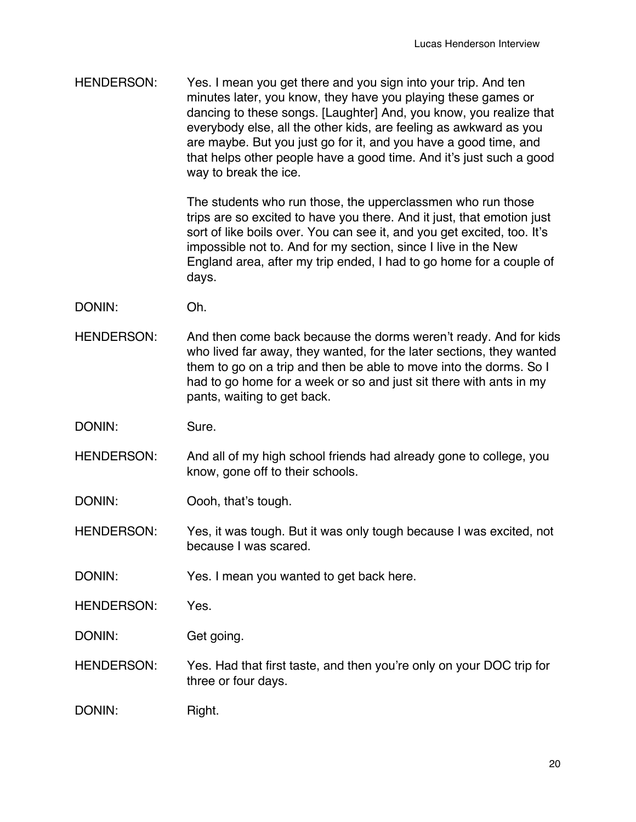HENDERSON: Yes. I mean you get there and you sign into your trip. And ten minutes later, you know, they have you playing these games or dancing to these songs. [Laughter] And, you know, you realize that everybody else, all the other kids, are feeling as awkward as you are maybe. But you just go for it, and you have a good time, and that helps other people have a good time. And it's just such a good way to break the ice.

> The students who run those, the upperclassmen who run those trips are so excited to have you there. And it just, that emotion just sort of like boils over. You can see it, and you get excited, too. It's impossible not to. And for my section, since I live in the New England area, after my trip ended, I had to go home for a couple of days.

- DONIN: Oh.
- HENDERSON: And then come back because the dorms weren't ready. And for kids who lived far away, they wanted, for the later sections, they wanted them to go on a trip and then be able to move into the dorms. So I had to go home for a week or so and just sit there with ants in my pants, waiting to get back.

DONIN: Sure.

HENDERSON: And all of my high school friends had already gone to college, you know, gone off to their schools.

DONIN: Oooh, that's tough.

HENDERSON: Yes, it was tough. But it was only tough because I was excited, not because I was scared.

DONIN: Yes. I mean you wanted to get back here.

HENDERSON: Yes.

DONIN: Get going.

HENDERSON: Yes. Had that first taste, and then you're only on your DOC trip for three or four days.

DONIN: Right.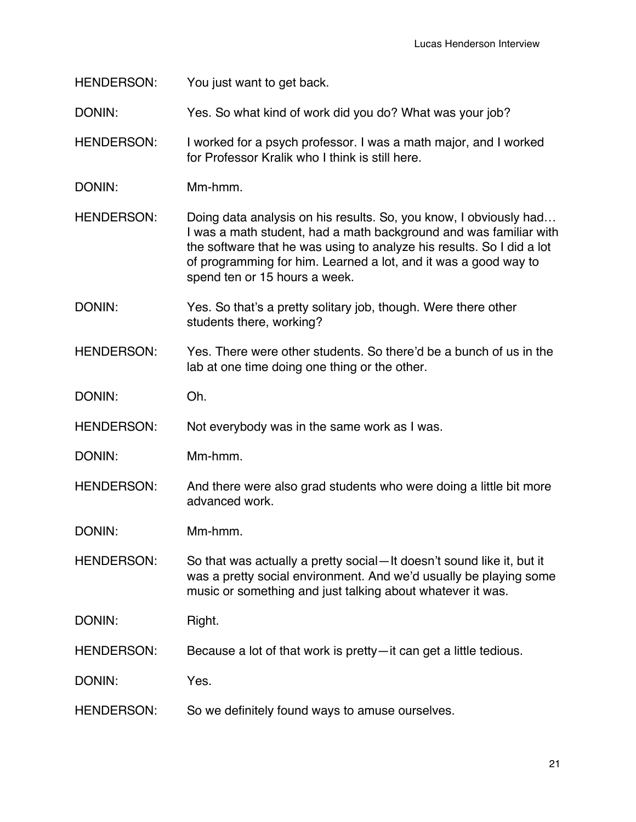HENDERSON: You just want to get back.

DONIN: Yes. So what kind of work did you do? What was your job?

HENDERSON: I worked for a psych professor. I was a math major, and I worked for Professor Kralik who I think is still here.

DONIN: Mm-hmm.

HENDERSON: Doing data analysis on his results. So, you know, I obviously had... I was a math student, had a math background and was familiar with the software that he was using to analyze his results. So I did a lot of programming for him. Learned a lot, and it was a good way to spend ten or 15 hours a week.

DONIN: Yes. So that's a pretty solitary job, though. Were there other students there, working?

HENDERSON: Yes. There were other students. So there'd be a bunch of us in the lab at one time doing one thing or the other.

DONIN: Oh.

HENDERSON: Not everybody was in the same work as I was.

DONIN: Mm-hmm.

HENDERSON: And there were also grad students who were doing a little bit more advanced work.

DONIN: Mm-hmm.

HENDERSON: So that was actually a pretty social—It doesn't sound like it, but it was a pretty social environment. And we'd usually be playing some music or something and just talking about whatever it was.

DONIN: Right.

HENDERSON: Because a lot of that work is pretty—it can get a little tedious.

DONIN: Yes.

HENDERSON: So we definitely found ways to amuse ourselves.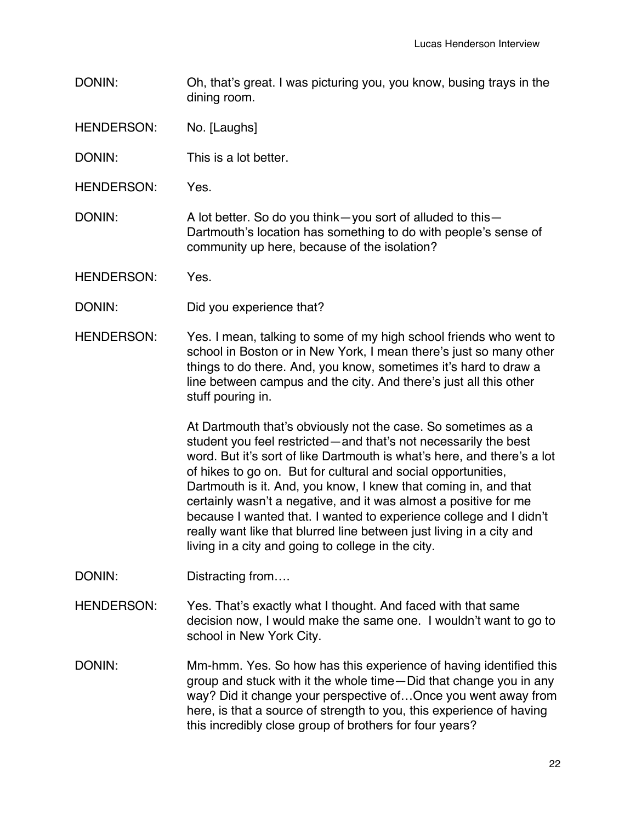- DONIN: Oh, that's great. I was picturing you, you know, busing trays in the dining room.
- HENDERSON: No. [Laughs]
- DONIN: This is a lot better.
- HENDERSON: Yes.
- DONIN: A lot better. So do you think—you sort of alluded to this— Dartmouth's location has something to do with people's sense of community up here, because of the isolation?
- HENDERSON: Yes.
- DONIN: Did you experience that?
- HENDERSON: Yes. I mean, talking to some of my high school friends who went to school in Boston or in New York, I mean there's just so many other things to do there. And, you know, sometimes it's hard to draw a line between campus and the city. And there's just all this other stuff pouring in.

At Dartmouth that's obviously not the case. So sometimes as a student you feel restricted—and that's not necessarily the best word. But it's sort of like Dartmouth is what's here, and there's a lot of hikes to go on. But for cultural and social opportunities, Dartmouth is it. And, you know, I knew that coming in, and that certainly wasn't a negative, and it was almost a positive for me because I wanted that. I wanted to experience college and I didn't really want like that blurred line between just living in a city and living in a city and going to college in the city.

- DONIN: Distracting from....
- HENDERSON: Yes. That's exactly what I thought. And faced with that same decision now, I would make the same one. I wouldn't want to go to school in New York City.
- DONIN: Mm-hmm. Yes. So how has this experience of having identified this group and stuck with it the whole time—Did that change you in any way? Did it change your perspective of…Once you went away from here, is that a source of strength to you, this experience of having this incredibly close group of brothers for four years?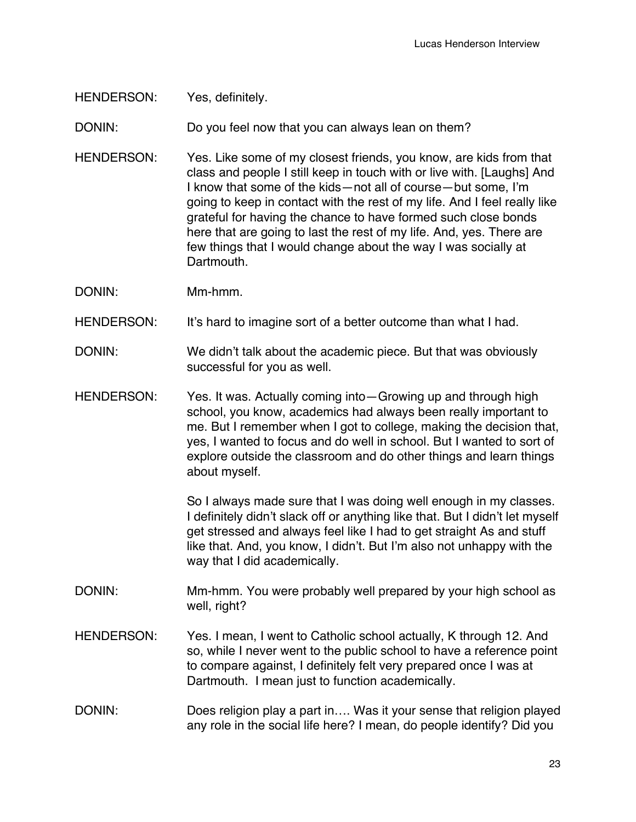## HENDERSON: Yes, definitely.

DONIN: Do you feel now that you can always lean on them?

HENDERSON: Yes. Like some of my closest friends, you know, are kids from that class and people I still keep in touch with or live with. [Laughs] And I know that some of the kids—not all of course—but some, I'm going to keep in contact with the rest of my life. And I feel really like grateful for having the chance to have formed such close bonds here that are going to last the rest of my life. And, yes. There are few things that I would change about the way I was socially at Dartmouth.

DONIN: Mm-hmm.

HENDERSON: It's hard to imagine sort of a better outcome than what I had.

- DONIN: We didn't talk about the academic piece. But that was obviously successful for you as well.
- HENDERSON: Yes. It was. Actually coming into—Growing up and through high school, you know, academics had always been really important to me. But I remember when I got to college, making the decision that, yes, I wanted to focus and do well in school. But I wanted to sort of explore outside the classroom and do other things and learn things about myself.

So I always made sure that I was doing well enough in my classes. I definitely didn't slack off or anything like that. But I didn't let myself get stressed and always feel like I had to get straight As and stuff like that. And, you know, I didn't. But I'm also not unhappy with the way that I did academically.

- DONIN: Mm-hmm. You were probably well prepared by your high school as well, right?
- HENDERSON: Yes. I mean, I went to Catholic school actually, K through 12. And so, while I never went to the public school to have a reference point to compare against, I definitely felt very prepared once I was at Dartmouth. I mean just to function academically.

## DONIN: Does religion play a part in.... Was it your sense that religion played any role in the social life here? I mean, do people identify? Did you